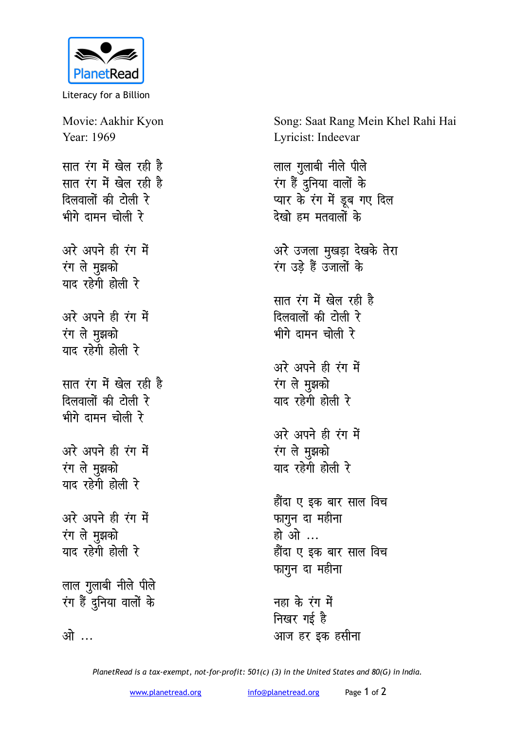

Literacy for a Billion

Movie: Aakhir Kyon Year: 1969 **सात रंग में खेल रही है** <u>सात रंग में खेल रही है</u> **दिलवालों की टोली रे** भीगे दामन चोली र<mark>े</mark> अरे अपने ही रंग में **i**ग ले मुझको याद रहेगी होली रे अरे अपने ही रंग में रंग ले मुझको याद रहेगी होली रे **सात रंग में खेल रही है दिलवालों की टोली रे** भीगे दामन चोली रे अरे अपने ही रंग में **रंग** ले मुझको याद रहेगी होली रे अरे अपने ही रंग में **ivaluated** याद रहेगी होली रे लाल गुलाबी नीले पीले रंग हैं <u>द</u>ुनिया वालों के <u>ओ ...</u>

Song: Saat Rang Mein Khel Rahi Hai Lyricist: Indeevar

*लाल गुलाबी नीले पीले* रंग हैं दुनिया वालों के प्यार के रंग में डूब गए दिल <u>देखो हम मतवालों के</u> अरे उजला मुखड़ा देखके तेरा रंग उडे हैं उजालों के सात रंग में खेल रही है **दिलवालों की टोली रे** भीगे दामन चोली रे अरे अपने ही रंग में **ivaluated** याद रहेगी होली र<mark>े</mark> अरे अपने ही रंग में रंग ले मुझको याद रहेगी होली रे हौंदा ए इक बार साल वि**च** *WHT* कागून दा महीना हो ओ ... हौंदा ए इक बार साल विच फागुन दा महीना

नहा के रंग में **निखर गई है** आज हर इक हसी**ना** 

*PlanetRead is a tax-exempt, not-for-profit: 501(c) (3) in the United States and 80(G) in India.*